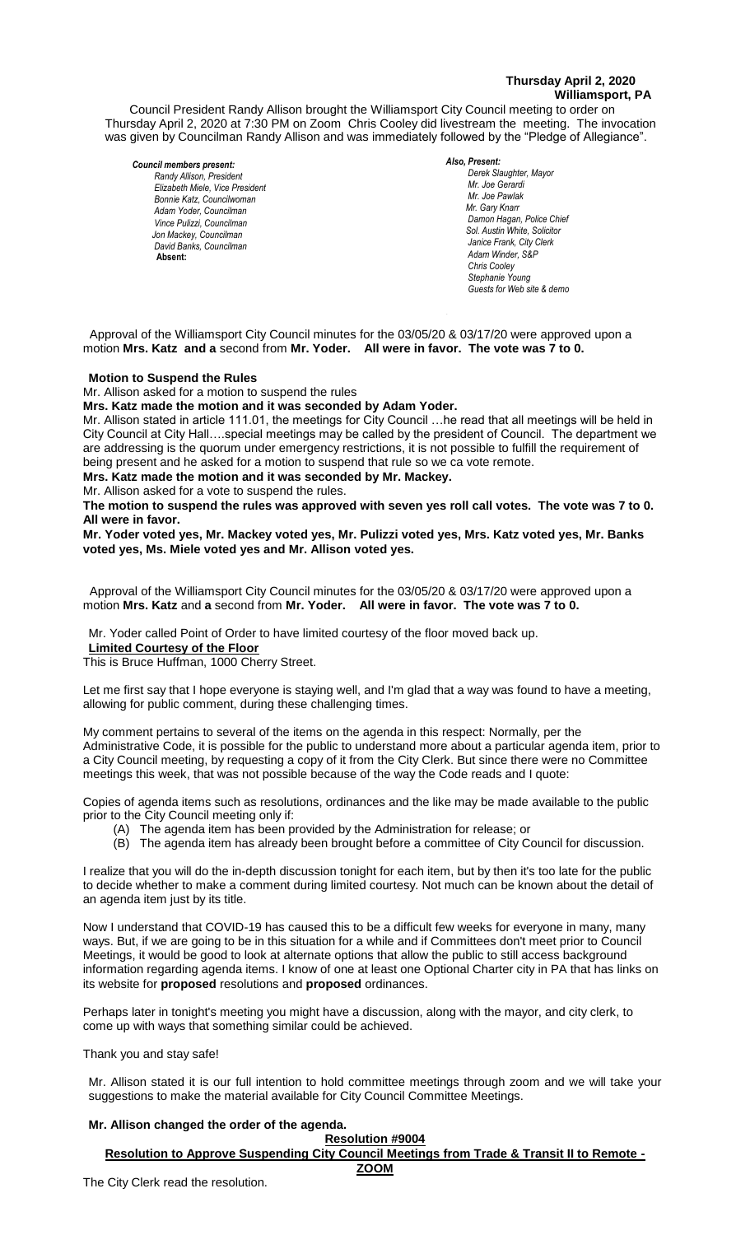## **Thursday April 2, 2020 Williamsport, PA**

Council President Randy Allison brought the Williamsport City Council meeting to order on Thursday April 2, 2020 at 7:30 PM on Zoom Chris Cooley did livestream the meeting. The invocation was given by Councilman Randy Allison and was immediately followed by the "Pledge of Allegiance".

#### *Council members present:*

*Randy Allison, President , President*   $E$ lizabeth Miele, Vice President *Bonnie Katz, Councilwoman Adam Yoder, Councilman Vince Pulizzi, Councilman Jon Mackey, Councilman David Banks, Councilman* **Absent:** 

#### *Also, Present:*

*Derek Slaughter, Mayor Mr. William Nichols, Jr. Mr. Joe Gerardi Mr. Joseph Pawlak Mr. Joe Pawlak Mr. Gary Knarr*  $D$ amon Hagan, Police Chief  *Sol. Austin White, Solicitor Janice Frank, City Clerk Adam Winder, S&P Chris Cooley Stephanie Young Guests for Web site & demo*

 Approval of the Williamsport City Council minutes for the 03/05/20 & 03/17/20 were approved upon a motion **Mrs. Katz and a** second from **Mr. Yoder. All were in favor. The vote was 7 to 0.**

#### **Motion to Suspend the Rules**

Mr. Allison asked for a motion to suspend the rules

**Mrs. Katz made the motion and it was seconded by Adam Yoder.**

Mr. Allison stated in article 111.01, the meetings for City Council …he read that all meetings will be held in City Council at City Hall….special meetings may be called by the president of Council. The department we *.*  are addressing is the quorum under emergency restrictions, it is not possible to fulfill the requirement of being present and he asked for a motion to suspend that rule so we ca vote remote. *Mr. Tom Cillo C. Dean Heinbach, Fire Chief* **Mrs. Katz made the motion and it was seconded by Mr. Mackey.** *Mr. Jonales Chemical Integral property of called by the president of Country Chemical Analysis of Line Countries* 

Mr. Allison asked for a vote to suspend the rules.

which allocated for a vote to supporta the rules.<br>The motion to suspend the rules was approved with seven yes roll call votes. The vote was 7 to 0. **All were in favor.** *Fodd Votes, Fire V* 

**Mr. Yoder voted yes, Mr. Mackey voted yes, Mr. Pulizzi voted yes, Mrs. Katz voted yes, Mr. Banks**  *News Media* **voted yes, Ms. Miele voted yes and Mr. Allison voted yes.** 

 Approval of the Williamsport City Council minutes for the 03/05/20 & 03/17/20 were approved upon a motion Mrs. Katz and a second from Mr. Yoder. All were in favor. The vote was 7 to 0. *Members of the news media*

Mr. Yoder called Point of Order to have limited courtesy of the floor moved back up.

**Limited Courtesy of the Floor**

This is Bruce Huffman, 1000 Cherry Street.

Let me first say that I hope everyone is staying well, and I'm glad that a way was found to have a meeting, allowing for public comment, during these challenging times.

My comment pertains to several of the items on the agenda in this respect: Normally, per the Administrative Code, it is possible for the public to understand more about a particular agenda item, prior to a City Council meeting, by requesting a copy of it from the City Clerk. But since there were no Committee meetings this week, that was not possible because of the way the Code reads and I quote:

Copies of agenda items such as resolutions, ordinances and the like may be made available to the public prior to the City Council meeting only if:

- (A) The agenda item has been provided by the Administration for release; or
- (B) The agenda item has already been brought before a committee of City Council for discussion.

I realize that you will do the in-depth discussion tonight for each item, but by then it's too late for the public to decide whether to make a comment during limited courtesy. Not much can be known about the detail of an agenda item just by its title.

Now I understand that COVID-19 has caused this to be a difficult few weeks for everyone in many, many ways. But, if we are going to be in this situation for a while and if Committees don't meet prior to Council Meetings, it would be good to look at alternate options that allow the public to still access background information regarding agenda items. I know of one at least one Optional Charter city in PA that has links on its website for **proposed** resolutions and **proposed** ordinances.

Perhaps later in tonight's meeting you might have a discussion, along with the mayor, and city clerk, to come up with ways that something similar could be achieved.

Thank you and stay safe!

Mr. Allison stated it is our full intention to hold committee meetings through zoom and we will take your suggestions to make the material available for City Council Committee Meetings.

## **Mr. Allison changed the order of the agenda.**

**Resolution #9004 Resolution to Approve Suspending City Council Meetings from Trade & Transit II to Remote - ZOOM**

The City Clerk read the resolution.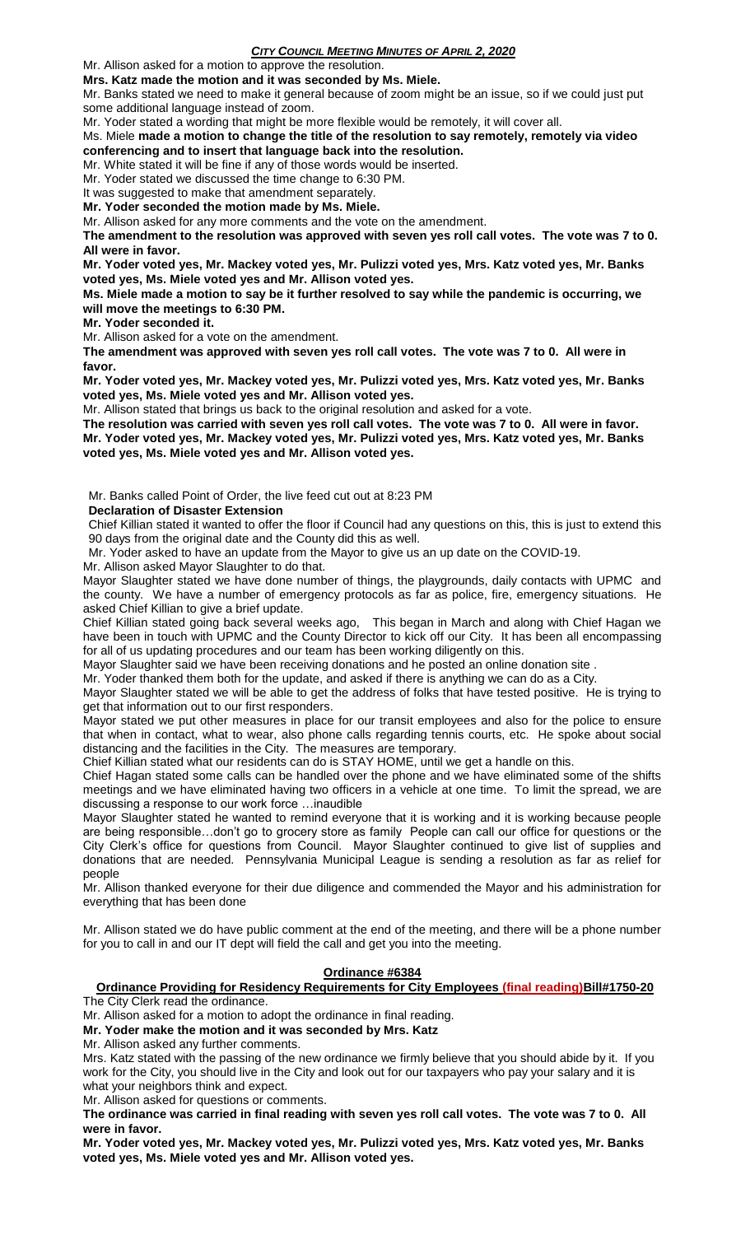Mr. Allison asked for a motion to approve the resolution.

**Mrs. Katz made the motion and it was seconded by Ms. Miele.**

Mr. Banks stated we need to make it general because of zoom might be an issue, so if we could just put some additional language instead of zoom.

Mr. Yoder stated a wording that might be more flexible would be remotely, it will cover all.

Ms. Miele **made a motion to change the title of the resolution to say remotely, remotely via video conferencing and to insert that language back into the resolution.**

Mr. White stated it will be fine if any of those words would be inserted.

Mr. Yoder stated we discussed the time change to 6:30 PM.

It was suggested to make that amendment separately.

**Mr. Yoder seconded the motion made by Ms. Miele.**

Mr. Allison asked for any more comments and the vote on the amendment.

**The amendment to the resolution was approved with seven yes roll call votes. The vote was 7 to 0. All were in favor.**

**Mr. Yoder voted yes, Mr. Mackey voted yes, Mr. Pulizzi voted yes, Mrs. Katz voted yes, Mr. Banks voted yes, Ms. Miele voted yes and Mr. Allison voted yes.** 

**Ms. Miele made a motion to say be it further resolved to say while the pandemic is occurring, we will move the meetings to 6:30 PM.**

**Mr. Yoder seconded it.**

Mr. Allison asked for a vote on the amendment.

**The amendment was approved with seven yes roll call votes. The vote was 7 to 0. All were in favor.**

**Mr. Yoder voted yes, Mr. Mackey voted yes, Mr. Pulizzi voted yes, Mrs. Katz voted yes, Mr. Banks voted yes, Ms. Miele voted yes and Mr. Allison voted yes.** 

Mr. Allison stated that brings us back to the original resolution and asked for a vote.

**The resolution was carried with seven yes roll call votes. The vote was 7 to 0. All were in favor. Mr. Yoder voted yes, Mr. Mackey voted yes, Mr. Pulizzi voted yes, Mrs. Katz voted yes, Mr. Banks voted yes, Ms. Miele voted yes and Mr. Allison voted yes.** 

Mr. Banks called Point of Order, the live feed cut out at 8:23 PM

**Declaration of Disaster Extension**

Chief Killian stated it wanted to offer the floor if Council had any questions on this, this is just to extend this 90 days from the original date and the County did this as well.

Mr. Yoder asked to have an update from the Mayor to give us an up date on the COVID-19.

Mr. Allison asked Mayor Slaughter to do that.

Mayor Slaughter stated we have done number of things, the playgrounds, daily contacts with UPMC and the county. We have a number of emergency protocols as far as police, fire, emergency situations. He asked Chief Killian to give a brief update.

Chief Killian stated going back several weeks ago, This began in March and along with Chief Hagan we have been in touch with UPMC and the County Director to kick off our City. It has been all encompassing for all of us updating procedures and our team has been working diligently on this.

Mayor Slaughter said we have been receiving donations and he posted an online donation site .

Mr. Yoder thanked them both for the update, and asked if there is anything we can do as a City.

Mayor Slaughter stated we will be able to get the address of folks that have tested positive. He is trying to get that information out to our first responders.

Mayor stated we put other measures in place for our transit employees and also for the police to ensure that when in contact, what to wear, also phone calls regarding tennis courts, etc. He spoke about social distancing and the facilities in the City. The measures are temporary.

Chief Killian stated what our residents can do is STAY HOME, until we get a handle on this.

Chief Hagan stated some calls can be handled over the phone and we have eliminated some of the shifts meetings and we have eliminated having two officers in a vehicle at one time. To limit the spread, we are discussing a response to our work force …inaudible

Mayor Slaughter stated he wanted to remind everyone that it is working and it is working because people are being responsible…don't go to grocery store as family People can call our office for questions or the City Clerk's office for questions from Council. Mayor Slaughter continued to give list of supplies and donations that are needed. Pennsylvania Municipal League is sending a resolution as far as relief for people

Mr. Allison thanked everyone for their due diligence and commended the Mayor and his administration for everything that has been done

Mr. Allison stated we do have public comment at the end of the meeting, and there will be a phone number for you to call in and our IT dept will field the call and get you into the meeting.

## **Ordinance #6384**

# **Ordinance Providing for Residency Requirements for City Employees (final reading)Bill#1750-20**

The City Clerk read the ordinance.

Mr. Allison asked for a motion to adopt the ordinance in final reading.

**Mr. Yoder make the motion and it was seconded by Mrs. Katz**

Mr. Allison asked any further comments.

Mrs. Katz stated with the passing of the new ordinance we firmly believe that you should abide by it. If you work for the City, you should live in the City and look out for our taxpayers who pay your salary and it is what your neighbors think and expect.

Mr. Allison asked for questions or comments.

**The ordinance was carried in final reading with seven yes roll call votes. The vote was 7 to 0. All were in favor.**

**Mr. Yoder voted yes, Mr. Mackey voted yes, Mr. Pulizzi voted yes, Mrs. Katz voted yes, Mr. Banks voted yes, Ms. Miele voted yes and Mr. Allison voted yes.**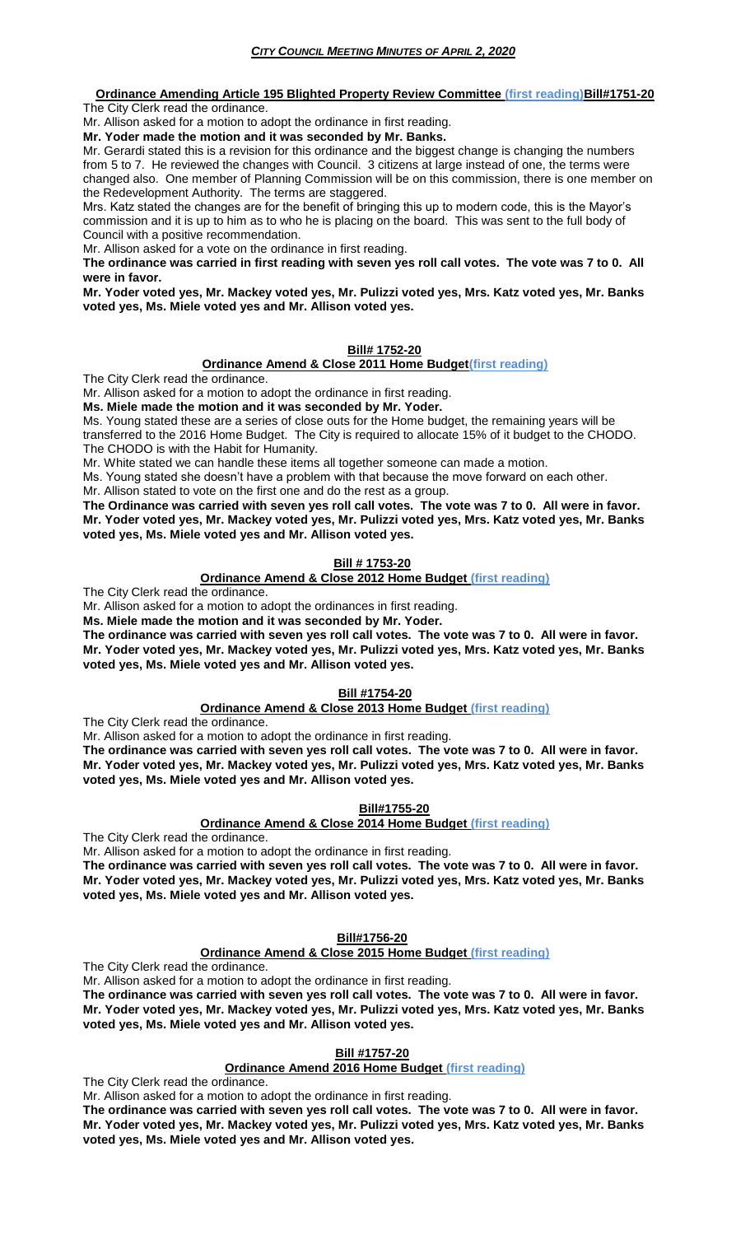#### **Ordinance Amending Article 195 Blighted Property Review Committee (first reading)Bill#1751-20** The City Clerk read the ordinance.

Mr. Allison asked for a motion to adopt the ordinance in first reading. **Mr. Yoder made the motion and it was seconded by Mr. Banks.**

Mr. Gerardi stated this is a revision for this ordinance and the biggest change is changing the numbers from 5 to 7. He reviewed the changes with Council. 3 citizens at large instead of one, the terms were changed also. One member of Planning Commission will be on this commission, there is one member on the Redevelopment Authority. The terms are staggered.

Mrs. Katz stated the changes are for the benefit of bringing this up to modern code, this is the Mayor's commission and it is up to him as to who he is placing on the board. This was sent to the full body of Council with a positive recommendation.

Mr. Allison asked for a vote on the ordinance in first reading.

**The ordinance was carried in first reading with seven yes roll call votes. The vote was 7 to 0. All were in favor.**

**Mr. Yoder voted yes, Mr. Mackey voted yes, Mr. Pulizzi voted yes, Mrs. Katz voted yes, Mr. Banks voted yes, Ms. Miele voted yes and Mr. Allison voted yes.** 

#### **Bill# 1752-20**

#### **Ordinance Amend & Close 2011 Home Budget(first reading)**

The City Clerk read the ordinance.

Mr. Allison asked for a motion to adopt the ordinance in first reading.

**Ms. Miele made the motion and it was seconded by Mr. Yoder.**

Ms. Young stated these are a series of close outs for the Home budget, the remaining years will be transferred to the 2016 Home Budget. The City is required to allocate 15% of it budget to the CHODO. The CHODO is with the Habit for Humanity.

Mr. White stated we can handle these items all together someone can made a motion.

Ms. Young stated she doesn't have a problem with that because the move forward on each other. Mr. Allison stated to vote on the first one and do the rest as a group.

**The Ordinance was carried with seven yes roll call votes. The vote was 7 to 0. All were in favor.**

**Mr. Yoder voted yes, Mr. Mackey voted yes, Mr. Pulizzi voted yes, Mrs. Katz voted yes, Mr. Banks voted yes, Ms. Miele voted yes and Mr. Allison voted yes.** 

## **Bill # 1753-20**

## **Ordinance Amend & Close 2012 Home Budget (first reading)**

The City Clerk read the ordinance.

Mr. Allison asked for a motion to adopt the ordinances in first reading.

**Ms. Miele made the motion and it was seconded by Mr. Yoder.**

**The ordinance was carried with seven yes roll call votes. The vote was 7 to 0. All were in favor. Mr. Yoder voted yes, Mr. Mackey voted yes, Mr. Pulizzi voted yes, Mrs. Katz voted yes, Mr. Banks voted yes, Ms. Miele voted yes and Mr. Allison voted yes.** 

## **Bill #1754-20**

## **Ordinance Amend & Close 2013 Home Budget (first reading)**

The City Clerk read the ordinance.

Mr. Allison asked for a motion to adopt the ordinance in first reading.

**The ordinance was carried with seven yes roll call votes. The vote was 7 to 0. All were in favor. Mr. Yoder voted yes, Mr. Mackey voted yes, Mr. Pulizzi voted yes, Mrs. Katz voted yes, Mr. Banks voted yes, Ms. Miele voted yes and Mr. Allison voted yes.** 

## **Bill#1755-20**

## **Ordinance Amend & Close 2014 Home Budget (first reading)**

The City Clerk read the ordinance.

Mr. Allison asked for a motion to adopt the ordinance in first reading. **The ordinance was carried with seven yes roll call votes. The vote was 7 to 0. All were in favor.**

**Mr. Yoder voted yes, Mr. Mackey voted yes, Mr. Pulizzi voted yes, Mrs. Katz voted yes, Mr. Banks voted yes, Ms. Miele voted yes and Mr. Allison voted yes.** 

## **Bill#1756-20**

## **Ordinance Amend & Close 2015 Home Budget (first reading)**

The City Clerk read the ordinance.

Mr. Allison asked for a motion to adopt the ordinance in first reading.

**The ordinance was carried with seven yes roll call votes. The vote was 7 to 0. All were in favor. Mr. Yoder voted yes, Mr. Mackey voted yes, Mr. Pulizzi voted yes, Mrs. Katz voted yes, Mr. Banks voted yes, Ms. Miele voted yes and Mr. Allison voted yes.** 

# **Bill #1757-20**

## **Ordinance Amend 2016 Home Budget (first reading)**

The City Clerk read the ordinance.

Mr. Allison asked for a motion to adopt the ordinance in first reading.

**The ordinance was carried with seven yes roll call votes. The vote was 7 to 0. All were in favor. Mr. Yoder voted yes, Mr. Mackey voted yes, Mr. Pulizzi voted yes, Mrs. Katz voted yes, Mr. Banks voted yes, Ms. Miele voted yes and Mr. Allison voted yes.**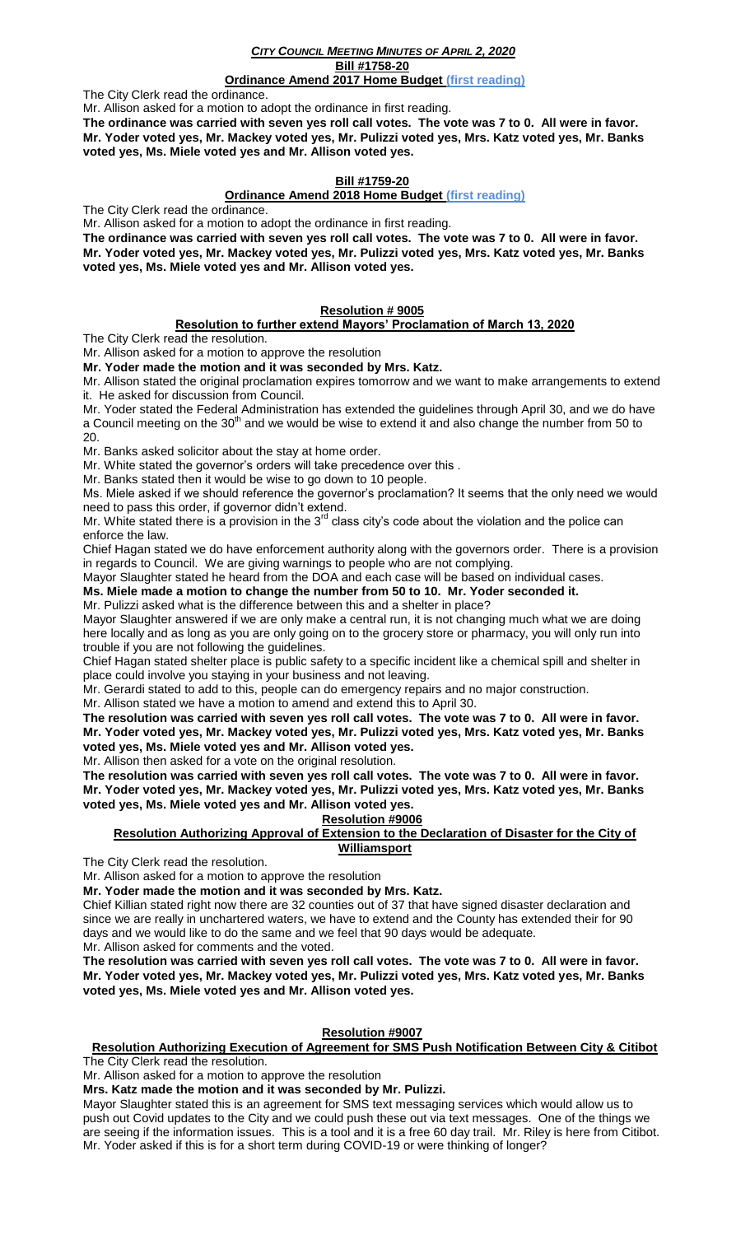## *CITY COUNCIL MEETING MINUTES OF APRIL 2, 2020* **Bill #1758-20**

## **Ordinance Amend 2017 Home Budget (first reading)**

The City Clerk read the ordinance.

Mr. Allison asked for a motion to adopt the ordinance in first reading.

**The ordinance was carried with seven yes roll call votes. The vote was 7 to 0. All were in favor. Mr. Yoder voted yes, Mr. Mackey voted yes, Mr. Pulizzi voted yes, Mrs. Katz voted yes, Mr. Banks voted yes, Ms. Miele voted yes and Mr. Allison voted yes.** 

## **Bill #1759-20**

#### **Ordinance Amend 2018 Home Budget (first reading)**

The City Clerk read the ordinance.

Mr. Allison asked for a motion to adopt the ordinance in first reading.

**The ordinance was carried with seven yes roll call votes. The vote was 7 to 0. All were in favor. Mr. Yoder voted yes, Mr. Mackey voted yes, Mr. Pulizzi voted yes, Mrs. Katz voted yes, Mr. Banks voted yes, Ms. Miele voted yes and Mr. Allison voted yes.** 

# **Resolution # 9005**

#### **Resolution to further extend Mayors' Proclamation of March 13, 2020**

The City Clerk read the resolution.

Mr. Allison asked for a motion to approve the resolution

**Mr. Yoder made the motion and it was seconded by Mrs. Katz.**

Mr. Allison stated the original proclamation expires tomorrow and we want to make arrangements to extend it. He asked for discussion from Council.

Mr. Yoder stated the Federal Administration has extended the guidelines through April 30, and we do have a Council meeting on the  $30<sup>th</sup>$  and we would be wise to extend it and also change the number from 50 to 20.

Mr. Banks asked solicitor about the stay at home order.

Mr. White stated the governor's orders will take precedence over this .

Mr. Banks stated then it would be wise to go down to 10 people.

Ms. Miele asked if we should reference the governor's proclamation? It seems that the only need we would need to pass this order, if governor didn't extend.

Mr. White stated there is a provision in the  $3<sup>rd</sup>$  class city's code about the violation and the police can enforce the law.

Chief Hagan stated we do have enforcement authority along with the governors order. There is a provision in regards to Council. We are giving warnings to people who are not complying.

Mayor Slaughter stated he heard from the DOA and each case will be based on individual cases.

**Ms. Miele made a motion to change the number from 50 to 10. Mr. Yoder seconded it.**

Mr. Pulizzi asked what is the difference between this and a shelter in place?

Mayor Slaughter answered if we are only make a central run, it is not changing much what we are doing here locally and as long as you are only going on to the grocery store or pharmacy, you will only run into trouble if you are not following the guidelines.

Chief Hagan stated shelter place is public safety to a specific incident like a chemical spill and shelter in place could involve you staying in your business and not leaving.

Mr. Gerardi stated to add to this, people can do emergency repairs and no major construction.

Mr. Allison stated we have a motion to amend and extend this to April 30.

**The resolution was carried with seven yes roll call votes. The vote was 7 to 0. All were in favor. Mr. Yoder voted yes, Mr. Mackey voted yes, Mr. Pulizzi voted yes, Mrs. Katz voted yes, Mr. Banks voted yes, Ms. Miele voted yes and Mr. Allison voted yes.** 

Mr. Allison then asked for a vote on the original resolution.

**The resolution was carried with seven yes roll call votes. The vote was 7 to 0. All were in favor. Mr. Yoder voted yes, Mr. Mackey voted yes, Mr. Pulizzi voted yes, Mrs. Katz voted yes, Mr. Banks voted yes, Ms. Miele voted yes and Mr. Allison voted yes.** 

## **Resolution #9006**

#### **Resolution Authorizing Approval of Extension to the Declaration of Disaster for the City of Williamsport**

The City Clerk read the resolution.

Mr. Allison asked for a motion to approve the resolution

**Mr. Yoder made the motion and it was seconded by Mrs. Katz.**

Chief Killian stated right now there are 32 counties out of 37 that have signed disaster declaration and since we are really in unchartered waters, we have to extend and the County has extended their for 90 days and we would like to do the same and we feel that 90 days would be adequate. Mr. Allison asked for comments and the voted.

**The resolution was carried with seven yes roll call votes. The vote was 7 to 0. All were in favor. Mr. Yoder voted yes, Mr. Mackey voted yes, Mr. Pulizzi voted yes, Mrs. Katz voted yes, Mr. Banks voted yes, Ms. Miele voted yes and Mr. Allison voted yes.** 

## **Resolution #9007**

**Resolution Authorizing Execution of Agreement for SMS Push Notification Between City & Citibot**

The City Clerk read the resolution.

Mr. Allison asked for a motion to approve the resolution

**Mrs. Katz made the motion and it was seconded by Mr. Pulizzi.**

Mayor Slaughter stated this is an agreement for SMS text messaging services which would allow us to push out Covid updates to the City and we could push these out via text messages. One of the things we are seeing if the information issues. This is a tool and it is a free 60 day trail. Mr. Riley is here from Citibot. Mr. Yoder asked if this is for a short term during COVID-19 or were thinking of longer?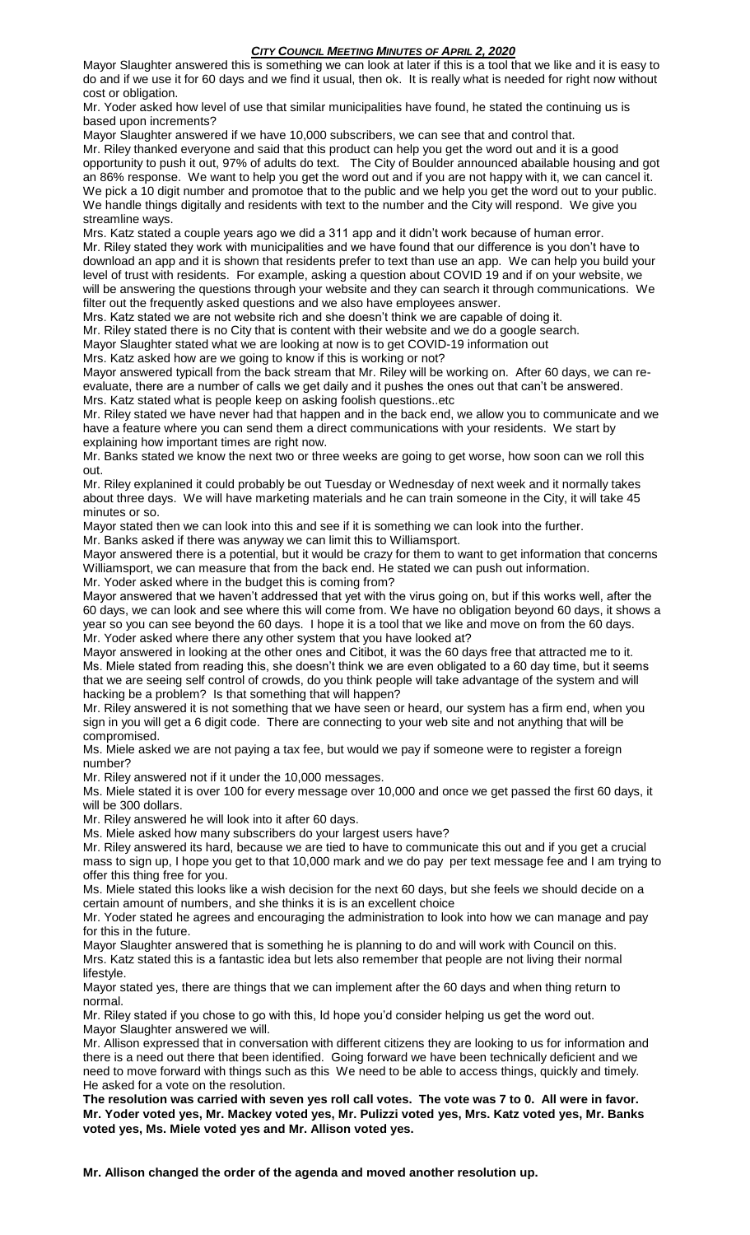Mayor Slaughter answered this is something we can look at later if this is a tool that we like and it is easy to do and if we use it for 60 days and we find it usual, then ok. It is really what is needed for right now without cost or obligation.

Mr. Yoder asked how level of use that similar municipalities have found, he stated the continuing us is based upon increments?

Mayor Slaughter answered if we have 10,000 subscribers, we can see that and control that. Mr. Riley thanked everyone and said that this product can help you get the word out and it is a good opportunity to push it out, 97% of adults do text. The City of Boulder announced abailable housing and got an 86% response. We want to help you get the word out and if you are not happy with it, we can cancel it. We pick a 10 digit number and promotoe that to the public and we help you get the word out to your public. We handle things digitally and residents with text to the number and the City will respond. We give you streamline ways.

Mrs. Katz stated a couple years ago we did a 311 app and it didn't work because of human error. Mr. Riley stated they work with municipalities and we have found that our difference is you don't have to download an app and it is shown that residents prefer to text than use an app. We can help you build your level of trust with residents. For example, asking a question about COVID 19 and if on your website, we will be answering the questions through your website and they can search it through communications. We filter out the frequently asked questions and we also have employees answer.

Mrs. Katz stated we are not website rich and she doesn't think we are capable of doing it.

Mr. Riley stated there is no City that is content with their website and we do a google search.

Mayor Slaughter stated what we are looking at now is to get COVID-19 information out

Mrs. Katz asked how are we going to know if this is working or not?

Mayor answered typicall from the back stream that Mr. Riley will be working on. After 60 days, we can reevaluate, there are a number of calls we get daily and it pushes the ones out that can't be answered. Mrs. Katz stated what is people keep on asking foolish questions..etc

Mr. Riley stated we have never had that happen and in the back end, we allow you to communicate and we have a feature where you can send them a direct communications with your residents. We start by explaining how important times are right now.

Mr. Banks stated we know the next two or three weeks are going to get worse, how soon can we roll this out.

Mr. Riley explanined it could probably be out Tuesday or Wednesday of next week and it normally takes about three days. We will have marketing materials and he can train someone in the City, it will take 45 minutes or so.

Mayor stated then we can look into this and see if it is something we can look into the further.

Mr. Banks asked if there was anyway we can limit this to Williamsport.

Mayor answered there is a potential, but it would be crazy for them to want to get information that concerns Williamsport, we can measure that from the back end. He stated we can push out information.

Mr. Yoder asked where in the budget this is coming from?

Mayor answered that we haven't addressed that yet with the virus going on, but if this works well, after the 60 days, we can look and see where this will come from. We have no obligation beyond 60 days, it shows a year so you can see beyond the 60 days. I hope it is a tool that we like and move on from the 60 days. Mr. Yoder asked where there any other system that you have looked at?

Mayor answered in looking at the other ones and Citibot, it was the 60 days free that attracted me to it. Ms. Miele stated from reading this, she doesn't think we are even obligated to a 60 day time, but it seems that we are seeing self control of crowds, do you think people will take advantage of the system and will hacking be a problem? Is that something that will happen?

Mr. Riley answered it is not something that we have seen or heard, our system has a firm end, when you sign in you will get a 6 digit code. There are connecting to your web site and not anything that will be compromised.

Ms. Miele asked we are not paying a tax fee, but would we pay if someone were to register a foreign number?

Mr. Riley answered not if it under the 10,000 messages.

Ms. Miele stated it is over 100 for every message over 10,000 and once we get passed the first 60 days, it will be 300 dollars.

Mr. Riley answered he will look into it after 60 days.

Ms. Miele asked how many subscribers do your largest users have?

Mr. Riley answered its hard, because we are tied to have to communicate this out and if you get a crucial mass to sign up, I hope you get to that 10,000 mark and we do pay per text message fee and I am trying to offer this thing free for you.

Ms. Miele stated this looks like a wish decision for the next 60 days, but she feels we should decide on a certain amount of numbers, and she thinks it is is an excellent choice

Mr. Yoder stated he agrees and encouraging the administration to look into how we can manage and pay for this in the future.

Mayor Slaughter answered that is something he is planning to do and will work with Council on this. Mrs. Katz stated this is a fantastic idea but lets also remember that people are not living their normal lifestyle.

Mayor stated yes, there are things that we can implement after the 60 days and when thing return to normal.

Mr. Riley stated if you chose to go with this, Id hope you'd consider helping us get the word out. Mayor Slaughter answered we will.

Mr. Allison expressed that in conversation with different citizens they are looking to us for information and there is a need out there that been identified. Going forward we have been technically deficient and we need to move forward with things such as this We need to be able to access things, quickly and timely. He asked for a vote on the resolution.

**The resolution was carried with seven yes roll call votes. The vote was 7 to 0. All were in favor. Mr. Yoder voted yes, Mr. Mackey voted yes, Mr. Pulizzi voted yes, Mrs. Katz voted yes, Mr. Banks voted yes, Ms. Miele voted yes and Mr. Allison voted yes.** 

**Mr. Allison changed the order of the agenda and moved another resolution up.**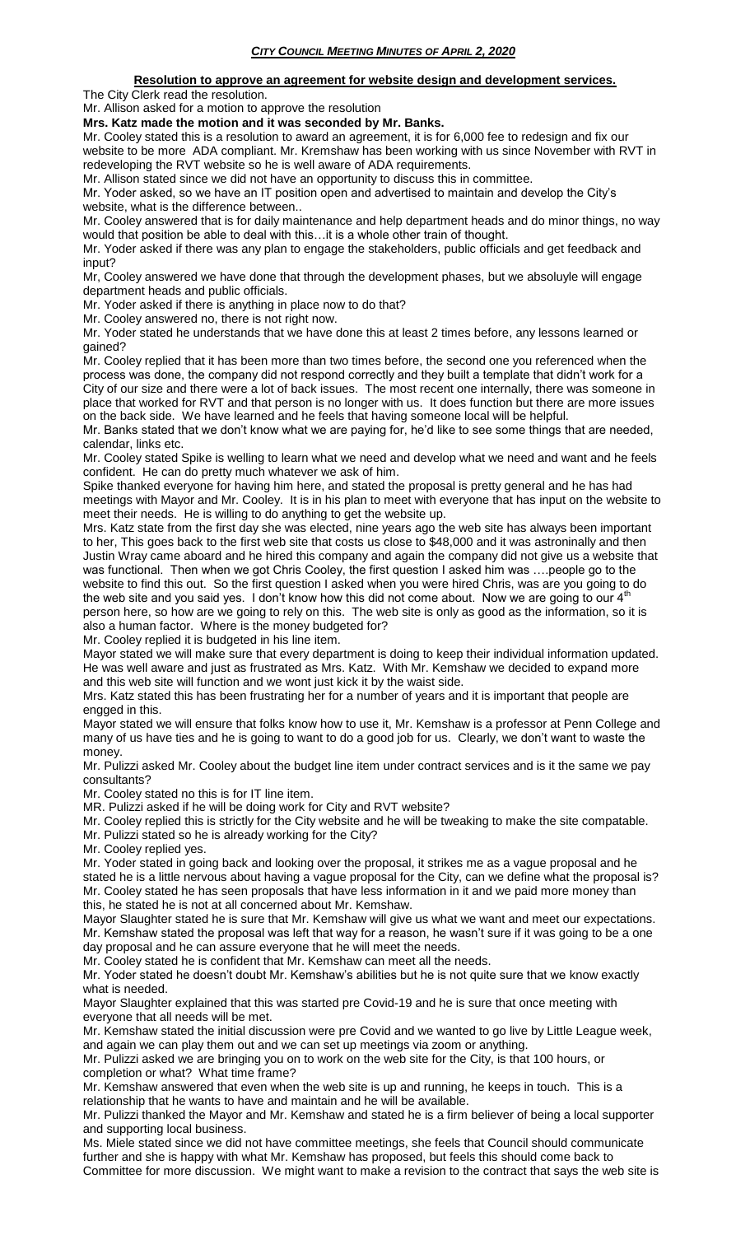## **Resolution to approve an agreement for website design and development services.** The City Clerk read the resolution.

Mr. Allison asked for a motion to approve the resolution

**Mrs. Katz made the motion and it was seconded by Mr. Banks.**

Mr. Cooley stated this is a resolution to award an agreement, it is for 6,000 fee to redesign and fix our website to be more ADA compliant. Mr. Kremshaw has been working with us since November with RVT in redeveloping the RVT website so he is well aware of ADA requirements.

Mr. Allison stated since we did not have an opportunity to discuss this in committee.

Mr. Yoder asked, so we have an IT position open and advertised to maintain and develop the City's website, what is the difference between..

Mr. Cooley answered that is for daily maintenance and help department heads and do minor things, no way would that position be able to deal with this…it is a whole other train of thought.

Mr. Yoder asked if there was any plan to engage the stakeholders, public officials and get feedback and input?

Mr, Cooley answered we have done that through the development phases, but we absoluyle will engage department heads and public officials.

Mr. Yoder asked if there is anything in place now to do that?

Mr. Cooley answered no, there is not right now.

Mr. Yoder stated he understands that we have done this at least 2 times before, any lessons learned or gained?

Mr. Cooley replied that it has been more than two times before, the second one you referenced when the process was done, the company did not respond correctly and they built a template that didn't work for a City of our size and there were a lot of back issues. The most recent one internally, there was someone in place that worked for RVT and that person is no longer with us. It does function but there are more issues on the back side. We have learned and he feels that having someone local will be helpful.

Mr. Banks stated that we don't know what we are paying for, he'd like to see some things that are needed, calendar, links etc.

Mr. Cooley stated Spike is welling to learn what we need and develop what we need and want and he feels confident. He can do pretty much whatever we ask of him.

Spike thanked everyone for having him here, and stated the proposal is pretty general and he has had meetings with Mayor and Mr. Cooley. It is in his plan to meet with everyone that has input on the website to meet their needs. He is willing to do anything to get the website up.

Mrs. Katz state from the first day she was elected, nine years ago the web site has always been important to her, This goes back to the first web site that costs us close to \$48,000 and it was astroninally and then Justin Wray came aboard and he hired this company and again the company did not give us a website that was functional. Then when we got Chris Cooley, the first question I asked him was ... people go to the website to find this out. So the first question I asked when you were hired Chris, was are you going to do the web site and you said yes. I don't know how this did not come about. Now we are going to our  $4<sup>th</sup>$ person here, so how are we going to rely on this. The web site is only as good as the information, so it is also a human factor. Where is the money budgeted for?

Mr. Cooley replied it is budgeted in his line item.

Mayor stated we will make sure that every department is doing to keep their individual information updated. He was well aware and just as frustrated as Mrs. Katz. With Mr. Kemshaw we decided to expand more and this web site will function and we wont just kick it by the waist side.

Mrs. Katz stated this has been frustrating her for a number of years and it is important that people are engged in this.

Mayor stated we will ensure that folks know how to use it, Mr. Kemshaw is a professor at Penn College and many of us have ties and he is going to want to do a good job for us. Clearly, we don't want to waste the money.

Mr. Pulizzi asked Mr. Cooley about the budget line item under contract services and is it the same we pay consultants?

Mr. Cooley stated no this is for IT line item.

MR. Pulizzi asked if he will be doing work for City and RVT website?

Mr. Cooley replied this is strictly for the City website and he will be tweaking to make the site compatable.

Mr. Pulizzi stated so he is already working for the City?

Mr. Cooley replied yes.

Mr. Yoder stated in going back and looking over the proposal, it strikes me as a vague proposal and he stated he is a little nervous about having a vague proposal for the City, can we define what the proposal is? Mr. Cooley stated he has seen proposals that have less information in it and we paid more money than this, he stated he is not at all concerned about Mr. Kemshaw.

Mayor Slaughter stated he is sure that Mr. Kemshaw will give us what we want and meet our expectations. Mr. Kemshaw stated the proposal was left that way for a reason, he wasn't sure if it was going to be a one day proposal and he can assure everyone that he will meet the needs.

Mr. Cooley stated he is confident that Mr. Kemshaw can meet all the needs.

Mr. Yoder stated he doesn't doubt Mr. Kemshaw's abilities but he is not quite sure that we know exactly what is needed.

Mayor Slaughter explained that this was started pre Covid-19 and he is sure that once meeting with everyone that all needs will be met.

Mr. Kemshaw stated the initial discussion were pre Covid and we wanted to go live by Little League week, and again we can play them out and we can set up meetings via zoom or anything.

Mr. Pulizzi asked we are bringing you on to work on the web site for the City, is that 100 hours, or completion or what? What time frame?

Mr. Kemshaw answered that even when the web site is up and running, he keeps in touch. This is a relationship that he wants to have and maintain and he will be available.

Mr. Pulizzi thanked the Mayor and Mr. Kemshaw and stated he is a firm believer of being a local supporter and supporting local business.

Ms. Miele stated since we did not have committee meetings, she feels that Council should communicate further and she is happy with what Mr. Kemshaw has proposed, but feels this should come back to Committee for more discussion. We might want to make a revision to the contract that says the web site is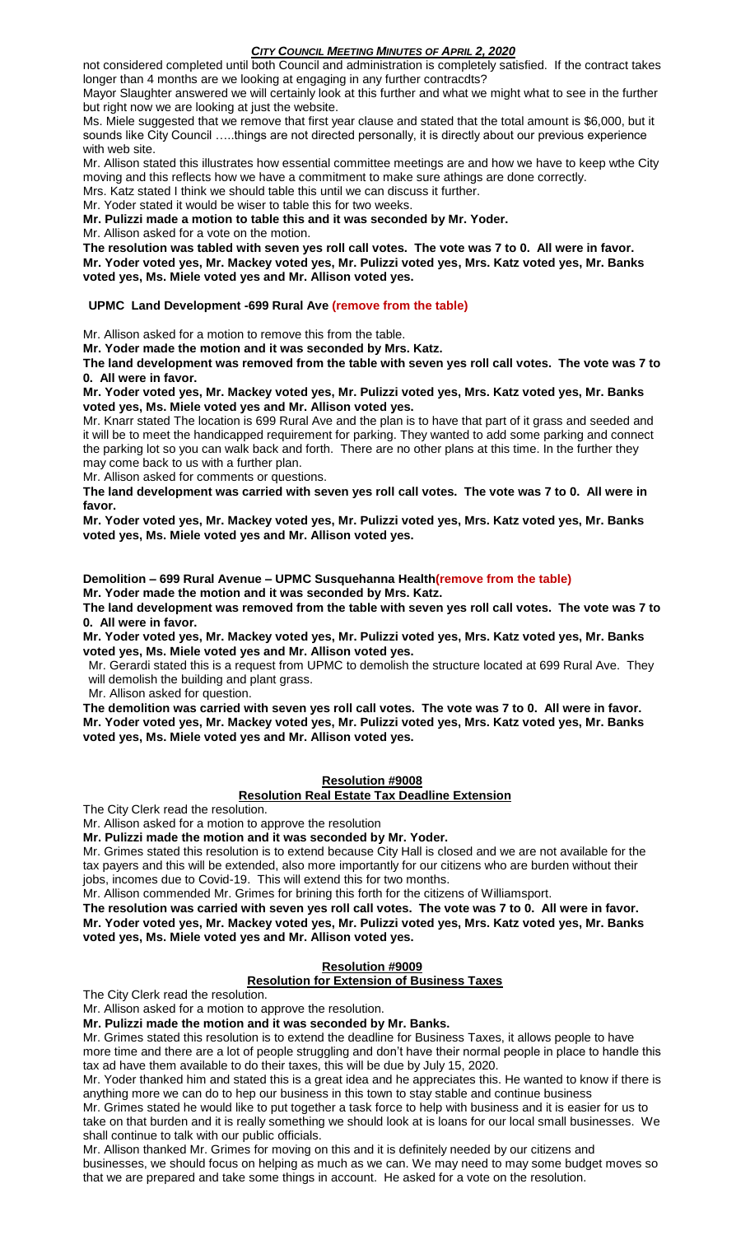not considered completed until both Council and administration is completely satisfied. If the contract takes longer than 4 months are we looking at engaging in any further contracdts?

Mayor Slaughter answered we will certainly look at this further and what we might what to see in the further but right now we are looking at just the website.

Ms. Miele suggested that we remove that first year clause and stated that the total amount is \$6,000, but it sounds like City Council .....things are not directed personally, it is directly about our previous experience with web site.

Mr. Allison stated this illustrates how essential committee meetings are and how we have to keep wthe City moving and this reflects how we have a commitment to make sure athings are done correctly.

Mrs. Katz stated I think we should table this until we can discuss it further.

Mr. Yoder stated it would be wiser to table this for two weeks.

**Mr. Pulizzi made a motion to table this and it was seconded by Mr. Yoder.**

Mr. Allison asked for a vote on the motion.

**The resolution was tabled with seven yes roll call votes. The vote was 7 to 0. All were in favor.**

**Mr. Yoder voted yes, Mr. Mackey voted yes, Mr. Pulizzi voted yes, Mrs. Katz voted yes, Mr. Banks voted yes, Ms. Miele voted yes and Mr. Allison voted yes.** 

## **UPMC Land Development -699 Rural Ave (remove from the table)**

Mr. Allison asked for a motion to remove this from the table.

**Mr. Yoder made the motion and it was seconded by Mrs. Katz.**

**The land development was removed from the table with seven yes roll call votes. The vote was 7 to 0. All were in favor.**

**Mr. Yoder voted yes, Mr. Mackey voted yes, Mr. Pulizzi voted yes, Mrs. Katz voted yes, Mr. Banks voted yes, Ms. Miele voted yes and Mr. Allison voted yes.** 

Mr. Knarr stated The location is 699 Rural Ave and the plan is to have that part of it grass and seeded and it will be to meet the handicapped requirement for parking. They wanted to add some parking and connect the parking lot so you can walk back and forth. There are no other plans at this time. In the further they may come back to us with a further plan.

Mr. Allison asked for comments or questions.

**The land development was carried with seven yes roll call votes. The vote was 7 to 0. All were in favor.**

**Mr. Yoder voted yes, Mr. Mackey voted yes, Mr. Pulizzi voted yes, Mrs. Katz voted yes, Mr. Banks voted yes, Ms. Miele voted yes and Mr. Allison voted yes.** 

**Demolition – 699 Rural Avenue – UPMC Susquehanna Health(remove from the table) Mr. Yoder made the motion and it was seconded by Mrs. Katz.**

**The land development was removed from the table with seven yes roll call votes. The vote was 7 to 0. All were in favor.**

**Mr. Yoder voted yes, Mr. Mackey voted yes, Mr. Pulizzi voted yes, Mrs. Katz voted yes, Mr. Banks voted yes, Ms. Miele voted yes and Mr. Allison voted yes.** 

Mr. Gerardi stated this is a request from UPMC to demolish the structure located at 699 Rural Ave. They will demolish the building and plant grass.

Mr. Allison asked for question.

**The demolition was carried with seven yes roll call votes. The vote was 7 to 0. All were in favor. Mr. Yoder voted yes, Mr. Mackey voted yes, Mr. Pulizzi voted yes, Mrs. Katz voted yes, Mr. Banks voted yes, Ms. Miele voted yes and Mr. Allison voted yes.** 

## **Resolution #9008**

#### **Resolution Real Estate Tax Deadline Extension**

The City Clerk read the resolution.

Mr. Allison asked for a motion to approve the resolution

**Mr. Pulizzi made the motion and it was seconded by Mr. Yoder.**

Mr. Grimes stated this resolution is to extend because City Hall is closed and we are not available for the tax payers and this will be extended, also more importantly for our citizens who are burden without their jobs, incomes due to Covid-19. This will extend this for two months.

Mr. Allison commended Mr. Grimes for brining this forth for the citizens of Williamsport.

**The resolution was carried with seven yes roll call votes. The vote was 7 to 0. All were in favor. Mr. Yoder voted yes, Mr. Mackey voted yes, Mr. Pulizzi voted yes, Mrs. Katz voted yes, Mr. Banks voted yes, Ms. Miele voted yes and Mr. Allison voted yes.** 

## **Resolution #9009**

## **Resolution for Extension of Business Taxes**

The City Clerk read the resolution.

Mr. Allison asked for a motion to approve the resolution.

**Mr. Pulizzi made the motion and it was seconded by Mr. Banks.**

Mr. Grimes stated this resolution is to extend the deadline for Business Taxes, it allows people to have more time and there are a lot of people struggling and don't have their normal people in place to handle this tax ad have them available to do their taxes, this will be due by July 15, 2020.

Mr. Yoder thanked him and stated this is a great idea and he appreciates this. He wanted to know if there is anything more we can do to hep our business in this town to stay stable and continue business

Mr. Grimes stated he would like to put together a task force to help with business and it is easier for us to take on that burden and it is really something we should look at is loans for our local small businesses. We shall continue to talk with our public officials.

Mr. Allison thanked Mr. Grimes for moving on this and it is definitely needed by our citizens and businesses, we should focus on helping as much as we can. We may need to may some budget moves so that we are prepared and take some things in account. He asked for a vote on the resolution.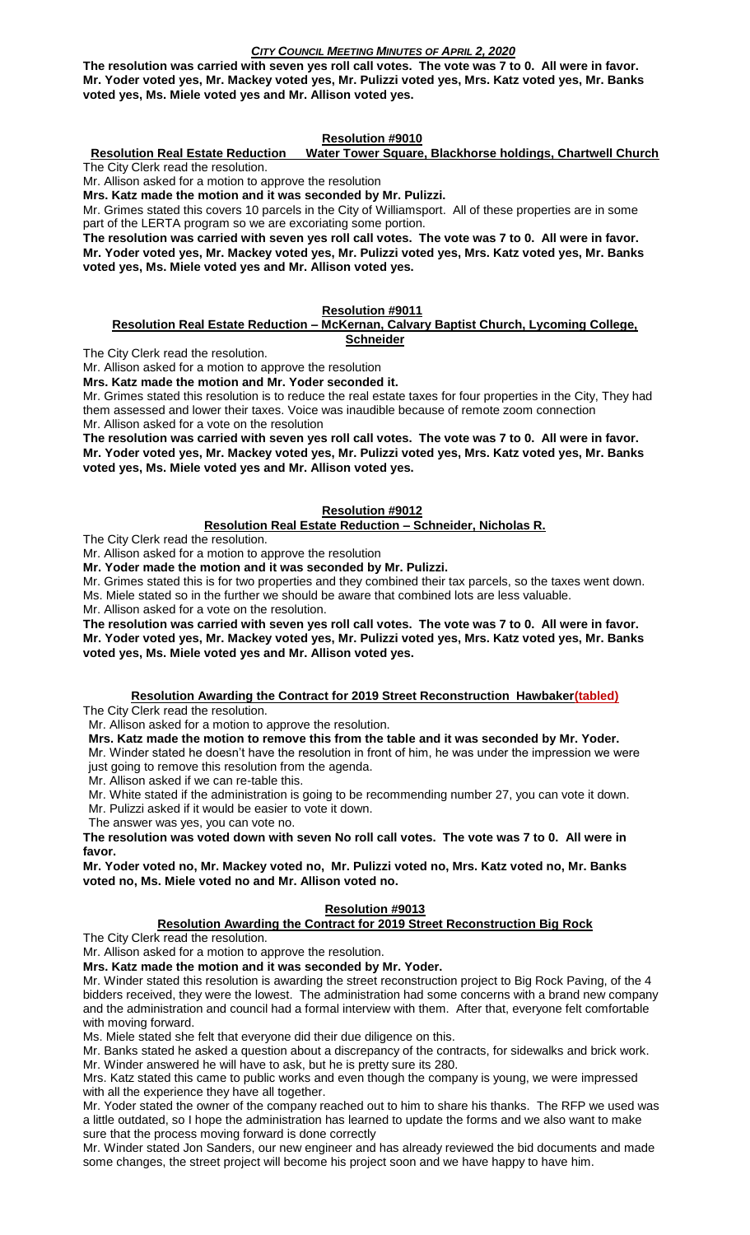**The resolution was carried with seven yes roll call votes. The vote was 7 to 0. All were in favor. Mr. Yoder voted yes, Mr. Mackey voted yes, Mr. Pulizzi voted yes, Mrs. Katz voted yes, Mr. Banks voted yes, Ms. Miele voted yes and Mr. Allison voted yes.** 

## **Resolution #9010**

**Resolution Real Estate Reduction Water Tower Square, Blackhorse holdings, Chartwell Church** The City Clerk read the resolution.

Mr. Allison asked for a motion to approve the resolution

**Mrs. Katz made the motion and it was seconded by Mr. Pulizzi.**

Mr. Grimes stated this covers 10 parcels in the City of Williamsport. All of these properties are in some part of the LERTA program so we are excoriating some portion.

**The resolution was carried with seven yes roll call votes. The vote was 7 to 0. All were in favor. Mr. Yoder voted yes, Mr. Mackey voted yes, Mr. Pulizzi voted yes, Mrs. Katz voted yes, Mr. Banks voted yes, Ms. Miele voted yes and Mr. Allison voted yes.** 

# **Resolution #9011**

#### **Resolution Real Estate Reduction – McKernan, Calvary Baptist Church, Lycoming College, Schneider**

The City Clerk read the resolution.

Mr. Allison asked for a motion to approve the resolution

**Mrs. Katz made the motion and Mr. Yoder seconded it.**

Mr. Grimes stated this resolution is to reduce the real estate taxes for four properties in the City, They had them assessed and lower their taxes. Voice was inaudible because of remote zoom connection Mr. Allison asked for a vote on the resolution

**The resolution was carried with seven yes roll call votes. The vote was 7 to 0. All were in favor. Mr. Yoder voted yes, Mr. Mackey voted yes, Mr. Pulizzi voted yes, Mrs. Katz voted yes, Mr. Banks voted yes, Ms. Miele voted yes and Mr. Allison voted yes.** 

## **Resolution #9012**

## **Resolution Real Estate Reduction – Schneider, Nicholas R.**

The City Clerk read the resolution.

Mr. Allison asked for a motion to approve the resolution

**Mr. Yoder made the motion and it was seconded by Mr. Pulizzi.**

Mr. Grimes stated this is for two properties and they combined their tax parcels, so the taxes went down. Ms. Miele stated so in the further we should be aware that combined lots are less valuable.

Mr. Allison asked for a vote on the resolution.

**The resolution was carried with seven yes roll call votes. The vote was 7 to 0. All were in favor. Mr. Yoder voted yes, Mr. Mackey voted yes, Mr. Pulizzi voted yes, Mrs. Katz voted yes, Mr. Banks voted yes, Ms. Miele voted yes and Mr. Allison voted yes.** 

# **Resolution Awarding the Contract for 2019 Street Reconstruction Hawbaker(tabled)**

The City Clerk read the resolution.

Mr. Allison asked for a motion to approve the resolution.

**Mrs. Katz made the motion to remove this from the table and it was seconded by Mr. Yoder.** Mr. Winder stated he doesn't have the resolution in front of him, he was under the impression we were just going to remove this resolution from the agenda.

Mr. Allison asked if we can re-table this.

Mr. White stated if the administration is going to be recommending number 27, you can vote it down.

Mr. Pulizzi asked if it would be easier to vote it down. The answer was yes, you can vote no.

**The resolution was voted down with seven No roll call votes. The vote was 7 to 0. All were in favor.**

**Mr. Yoder voted no, Mr. Mackey voted no, Mr. Pulizzi voted no, Mrs. Katz voted no, Mr. Banks voted no, Ms. Miele voted no and Mr. Allison voted no.** 

## **Resolution #9013**

## **Resolution Awarding the Contract for 2019 Street Reconstruction Big Rock**

The City Clerk read the resolution.

Mr. Allison asked for a motion to approve the resolution.

**Mrs. Katz made the motion and it was seconded by Mr. Yoder.**

Mr. Winder stated this resolution is awarding the street reconstruction project to Big Rock Paving, of the 4 bidders received, they were the lowest. The administration had some concerns with a brand new company and the administration and council had a formal interview with them. After that, everyone felt comfortable with moving forward.

Ms. Miele stated she felt that everyone did their due diligence on this.

Mr. Banks stated he asked a question about a discrepancy of the contracts, for sidewalks and brick work. Mr. Winder answered he will have to ask, but he is pretty sure its 280.

Mrs. Katz stated this came to public works and even though the company is young, we were impressed with all the experience they have all together.

Mr. Yoder stated the owner of the company reached out to him to share his thanks. The RFP we used was a little outdated, so I hope the administration has learned to update the forms and we also want to make sure that the process moving forward is done correctly

Mr. Winder stated Jon Sanders, our new engineer and has already reviewed the bid documents and made some changes, the street project will become his project soon and we have happy to have him.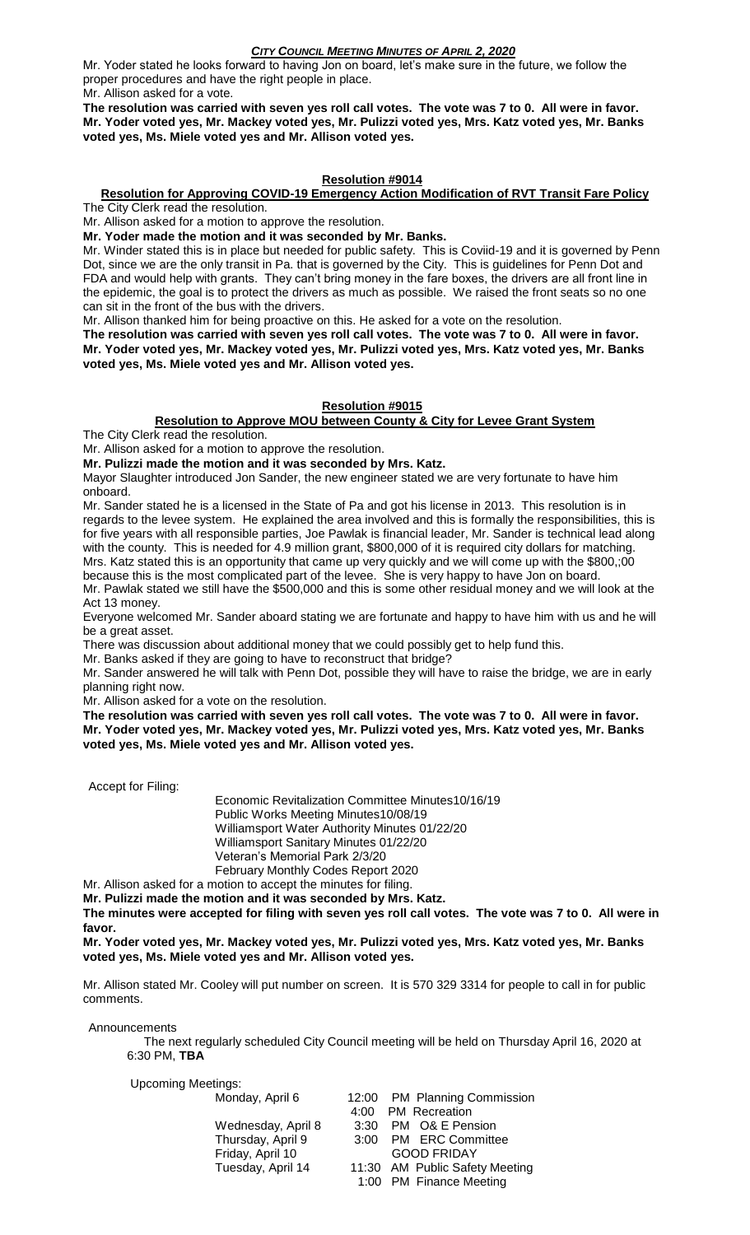Mr. Yoder stated he looks forward to having Jon on board, let's make sure in the future, we follow the proper procedures and have the right people in place. Mr. Allison asked for a vote.

**The resolution was carried with seven yes roll call votes. The vote was 7 to 0. All were in favor. Mr. Yoder voted yes, Mr. Mackey voted yes, Mr. Pulizzi voted yes, Mrs. Katz voted yes, Mr. Banks voted yes, Ms. Miele voted yes and Mr. Allison voted yes.** 

## **Resolution #9014**

# **Resolution for Approving COVID-19 Emergency Action Modification of RVT Transit Fare Policy**

The City Clerk read the resolution.

Mr. Allison asked for a motion to approve the resolution.

**Mr. Yoder made the motion and it was seconded by Mr. Banks.**

Mr. Winder stated this is in place but needed for public safety. This is Coviid-19 and it is governed by Penn Dot, since we are the only transit in Pa. that is governed by the City. This is guidelines for Penn Dot and FDA and would help with grants. They can't bring money in the fare boxes, the drivers are all front line in the epidemic, the goal is to protect the drivers as much as possible. We raised the front seats so no one can sit in the front of the bus with the drivers.

Mr. Allison thanked him for being proactive on this. He asked for a vote on the resolution.

**The resolution was carried with seven yes roll call votes. The vote was 7 to 0. All were in favor. Mr. Yoder voted yes, Mr. Mackey voted yes, Mr. Pulizzi voted yes, Mrs. Katz voted yes, Mr. Banks voted yes, Ms. Miele voted yes and Mr. Allison voted yes.** 

#### **Resolution #9015**

# **Resolution to Approve MOU between County & City for Levee Grant System**

The City Clerk read the resolution.

Mr. Allison asked for a motion to approve the resolution.

**Mr. Pulizzi made the motion and it was seconded by Mrs. Katz.**

Mayor Slaughter introduced Jon Sander, the new engineer stated we are very fortunate to have him onboard.

Mr. Sander stated he is a licensed in the State of Pa and got his license in 2013. This resolution is in regards to the levee system. He explained the area involved and this is formally the responsibilities, this is for five years with all responsible parties, Joe Pawlak is financial leader, Mr. Sander is technical lead along with the county. This is needed for 4.9 million grant, \$800,000 of it is required city dollars for matching. Mrs. Katz stated this is an opportunity that came up very quickly and we will come up with the \$800,;00 because this is the most complicated part of the levee. She is very happy to have Jon on board.

Mr. Pawlak stated we still have the \$500,000 and this is some other residual money and we will look at the Act 13 money.

Everyone welcomed Mr. Sander aboard stating we are fortunate and happy to have him with us and he will be a great asset.

There was discussion about additional money that we could possibly get to help fund this.

Mr. Banks asked if they are going to have to reconstruct that bridge?

Mr. Sander answered he will talk with Penn Dot, possible they will have to raise the bridge, we are in early planning right now.

Mr. Allison asked for a vote on the resolution.

**The resolution was carried with seven yes roll call votes. The vote was 7 to 0. All were in favor. Mr. Yoder voted yes, Mr. Mackey voted yes, Mr. Pulizzi voted yes, Mrs. Katz voted yes, Mr. Banks voted yes, Ms. Miele voted yes and Mr. Allison voted yes.** 

Accept for Filing:

Economic Revitalization Committee Minutes10/16/19 Public Works Meeting Minutes10/08/19 Williamsport Water Authority Minutes 01/22/20 Williamsport Sanitary Minutes 01/22/20 Veteran's Memorial Park 2/3/20 February Monthly Codes Report 2020

Mr. Allison asked for a motion to accept the minutes for filing.

**Mr. Pulizzi made the motion and it was seconded by Mrs. Katz.**

**The minutes were accepted for filing with seven yes roll call votes. The vote was 7 to 0. All were in favor.**

**Mr. Yoder voted yes, Mr. Mackey voted yes, Mr. Pulizzi voted yes, Mrs. Katz voted yes, Mr. Banks voted yes, Ms. Miele voted yes and Mr. Allison voted yes.** 

Mr. Allison stated Mr. Cooley will put number on screen. It is 570 329 3314 for people to call in for public comments.

Announcements

 The next regularly scheduled City Council meeting will be held on Thursday April 16, 2020 at 6:30 PM, **TBA**

Upcoming Meetings:

| Monday, April 6    |      | 12:00 PM Planning Commission   |
|--------------------|------|--------------------------------|
|                    | 4:00 | <b>PM Recreation</b>           |
| Wednesday, April 8 | 3:30 | PM O& E Pension                |
| Thursday, April 9  |      | 3:00 PM ERC Committee          |
| Friday, April 10   |      | <b>GOOD FRIDAY</b>             |
| Tuesday, April 14  |      | 11:30 AM Public Safety Meeting |
|                    |      | 1:00 PM Finance Meeting        |